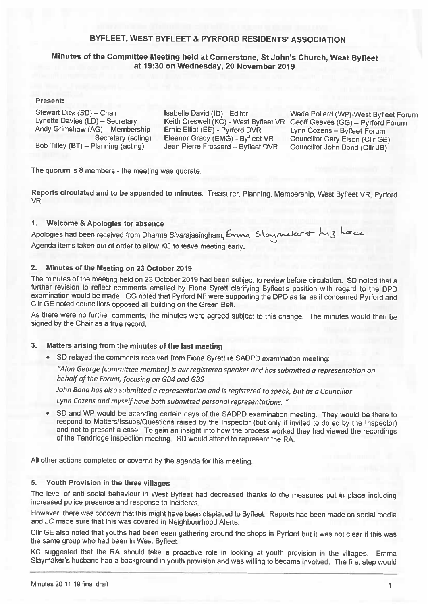### BYFLEET, WEST BYFLEET & PYRFORD RESIDENTS' ASSOCIATION

### Minutes of the Committee Meeting held at Cornerstone, St John's Church, West Byfleet at 19:30 on Wednesday, 20 November 2019

#### Present:

Stewart Dick (SD) - Chair Lynette Davies (LD) - Secretary Andy Grimshaw (AG) - Membership Secretary (acting) Bob Tilley (BT) - Planning (acting)

Isabelle David (ID) - Editor Keith Creswell (KC) - West Byfleet VR Ernie Elliot (EE) - Pyrford DVR Eleanor Grady (EMG) - Byfleet VR Jean Pierre Frossard - Byfleet DVR

Wade Pollard (WP)-West Byfleet Forum Geoff Geaves (GG) - Pyrford Forum Lynn Cozens - Byfleet Forum Councillor Gary Elson (Cllr GE) Councillor John Bond (Cllr JB)

The quorum is 8 members - the meeting was quorate.

Reports circulated and to be appended to minutes: Treasurer, Planning, Membership, West Byfleet VR, Pyrford **VR** 

#### **Welcome & Apologies for absence** 1.

Apologies had been received from Dharma Sivarajasingham, Enna Slaymater + hiz heese Agenda items taken out of order to allow KC to leave meeting early.

#### Minutes of the Meeting on 23 October 2019  $2.$

The minutes of the meeting held on 23 October 2019 had been subject to review before circulation. SD noted that a further revision to reflect comments emailed by Fiona Syrett clarifying Byfleet's position with regard to the DPD examination would be made. GG noted that Pyrford NF were supporting the DPD as far as it concerned Pyrford and Cllr GE noted councillors opposed all building on the Green Belt.

As there were no further comments, the minutes were agreed subject to this change. The minutes would then be signed by the Chair as a true record.

#### 3. Matters arising from the minutes of the last meeting

• SD relayed the comments received from Fiona Syrett re SADPD examination meeting:

"Alan George (committee member) is our registered speaker and has submitted a representation on behalf of the Forum, focusing on GB4 and GB5

John Bond has also submitted a representation and is registered to speak, but as a Councillor

Lynn Cozens and myself have both submitted personal representations. "

SD and WP would be attending certain days of the SADPD examination meeting. They would be there to  $\bullet$ respond to Matters/Issues/Questions raised by the Inspector (but only if invited to do so by the Inspector) and not to present a case. To gain an insight into how the process worked they had viewed the recordings of the Tandridge inspection meeting. SD would attend to represent the RA.

All other actions completed or covered by the agenda for this meeting.

#### Youth Provision in the three villages 5.

The level of anti social behaviour in West Byfleet had decreased thanks to the measures put in place including increased police presence and response to incidents.

However, there was concern that this might have been displaced to Byfleet. Reports had been made on social media and LC made sure that this was covered in Neighbourhood Alerts.

Cllr GE also noted that youths had been seen gathering around the shops in Pyrford but it was not clear if this was the same group who had been in West Byfleet.

KC suggested that the RA should take a proactive role in looking at youth provision in the villages. Emma Slaymaker's husband had a background in youth provision and was willing to become involved. The first step would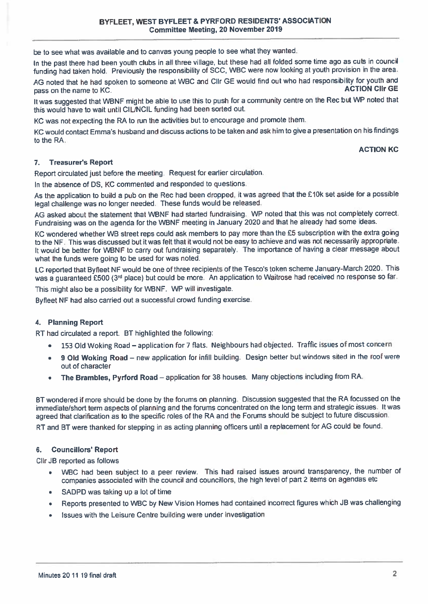be to see what was available and to canvas young people to see what they wanted.

In the past there had been youth clubs in all three village, but these had all folded some time ago as cuts in council funding had taken hold. Previously the responsibility of SCC, WBC were now looking at youth provision in the area.

AG noted that he had spoken to someone at WBC and CIIr GE would find out who had responsibility for youth and **ACTION CIIr GE** pass on the name to KC.

It was suggested that WBNF might be able to use this to push for a community centre on the Rec but WP noted that this would have to wait until CIL/NCIL funding had been sorted out.

KC was not expecting the RA to run the activities but to encourage and promote them.

KC would contact Emma's husband and discuss actions to be taken and ask him to give a presentation on his findings to the RA.

**ACTION KC** 

#### 7. **Treasurer's Report**

Report circulated just before the meeting. Request for earlier circulation.

In the absence of DS, KC commented and responded to questions.

As the application to build a pub on the Rec had been dropped, it was agreed that the £10k set aside for a possible legal challenge was no longer needed. These funds would be released.

AG asked about the statement that WBNF had started fundraising. WP noted that this was not completely correct. Fundraising was on the agenda for the WBNF meeting in January 2020 and that he already had some ideas.

KC wondered whether WB street reps could ask members to pay more than the £5 subscription with the extra going to the NF. This was discussed but it was felt that it would not be easy to achieve and was not necessarily appropriate. It would be better for WBNF to carry out fundraising separately. The importance of having a clear message about what the funds were going to be used for was noted.

LC reported that Byfleet NF would be one of three recipients of the Tesco's token scheme January-March 2020. This was a guaranteed £500 (3rd place) but could be more. An application to Waitrose had received no response so far.

This might also be a possibility for WBNF. WP will investigate.

Byfleet NF had also carried out a successful crowd funding exercise.

#### 4. Planning Report

RT had circulated a report. BT highlighted the following:

- 153 Old Woking Road application for 7 flats. Neighbours had objected. Traffic issues of most concern
- 9 Old Woking Road new application for infill building. Design better but windows sited in the roof were out of character
- The Brambles, Pyrford Road application for 38 houses. Many objections including from RA.

BT wondered if more should be done by the forums on planning. Discussion suggested that the RA focussed on the immediate/short term aspects of planning and the forums concentrated on the long term and strategic issues. It was agreed that clarification as to the specific roles of the RA and the Forums should be subject to future discussion.

RT and BT were thanked for stepping in as acting planning officers until a replacement for AG could be found.

#### **Councillors' Report** 6.

Cllr JB reported as follows

- WBC had been subject to a peer review. This had raised issues around transparency, the number of companies associated with the council and councillors, the high level of part 2 items on agendas etc
- SADPD was taking up a lot of time
- Reports presented to WBC by New Vision Homes had contained incorrect figures which JB was challenging
- Issues with the Leisure Centre building were under investigation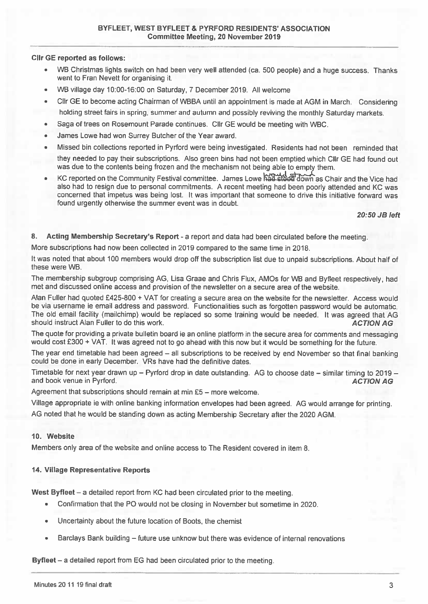#### **ClIr GE reported as follows:**

- WB Christmas lights switch on had been very well attended (ca. 500 people) and a huge success. Thanks  $\blacksquare$ went to Fran Nevett for organising it.
- WB village day 10:00-16:00 on Saturday, 7 December 2019. All welcome
- Cllr GE to become acting Chairman of WBBA until an appointment is made at AGM in March. Considering  $\blacksquare$ holding street fairs in spring, summer and autumn and possibly reviving the monthly Saturday markets.
- Saga of trees on Rosemount Parade continues. Cllr GE would be meeting with WBC. ò.
- James Lowe had won Surrey Butcher of the Year award.
- Missed bin collections reported in Pyrford were being investigated. Residents had not been reminded that  $\bullet$ they needed to pay their subscriptions. Also green bins had not been emptied which Clir GE had found out was due to the contents being frozen and the mechanism not being able to empty them.
- KC reported on the Community Festival committee. James Lowe had steed down as Chair and the Vice had also had to resign due to personal commitments. A recent meeting had been poorly attended and KC was concerned that impetus was being lost. It was important that someone to drive this initiative forward was found urgently otherwise the summer event was in doubt.

20:50 JB left

#### Acting Membership Secretary's Report - a report and data had been circulated before the meeting. **8.**

More subscriptions had now been collected in 2019 compared to the same time in 2018.

It was noted that about 100 members would drop off the subscription list due to unpaid subscriptions. About half of these were WB.

The membership subgroup comprising AG, Lisa Graae and Chris Flux, AMOs for WB and Byfleet respectively, had met and discussed online access and provision of the newsletter on a secure area of the website.

Alan Fuller had quoted £425-800 + VAT for creating a secure area on the website for the newsletter. Access would be via username ie email address and password. Functionalities such as forgotten password would be automatic. The old email facility (mailchimp) would be replaced so some training would be needed. It was agreed that AG should instruct Alan Fuller to do this work. **ACTION AG** 

The quote for providing a private bulletin board ie an online platform in the secure area for comments and messaging would cost £300 + VAT. It was agreed not to go ahead with this now but it would be something for the future.

The year end timetable had been agreed - all subscriptions to be received by end November so that final banking could be done in early December. VRs have had the definitive dates.

Timetable for next year drawn up - Pyrford drop in date outstanding. AG to choose date - similar timing to 2019 and book venue in Pyrford. **ACTION AG** 

Agreement that subscriptions should remain at min £5 - more welcome.

Village appropriate ie with online banking information envelopes had been agreed. AG would arrange for printing.

AG noted that he would be standing down as acting Membership Secretary after the 2020 AGM.

#### 10. Website

Members only area of the website and online access to The Resident covered in item 8.

#### 14. Village Representative Reports

West Byfleet - a detailed report from KC had been circulated prior to the meeting.

- Confirmation that the PO would not be closing in November but sometime in 2020.  $\bullet$
- Uncertainty about the future location of Boots, the chemist
- Barclays Bank building future use unknow but there was evidence of internal renovations

Byfleet - a detailed report from EG had been circulated prior to the meeting.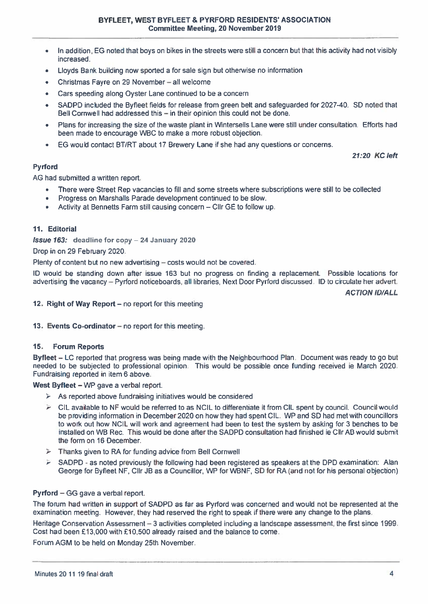- In addition. EG noted that boys on bikes in the streets were still a concern but that this activity had not visibly increased.
- Lloyds Bank building now sported a for sale sign but otherwise no information
- Christmas Fayre on 29 November all welcome  $\bullet$
- Cars speeding along Oyster Lane continued to be a concern ×
- SADPD included the Byfleet fields for release from green belt and safeguarded for 2027-40. SD noted that Bell Cornwell had addressed this - in their opinion this could not be done.
- Plans for increasing the size of the waste plant in Wintersells Lane were still under consultation. Efforts had been made to encourage WBC to make a more robust objection.
- EG would contact BT/RT about 17 Brewery Lane if she had any questions or concerns.  $\bullet$

#### **Pyrford**

21:20 KC left

AG had submitted a written report.

- There were Street Rep vacancies to fill and some streets where subscriptions were still to be collected
- Progress on Marshalls Parade development continued to be slow.  $\bullet$
- $\ddot{\phantom{a}}$ Activity at Bennetts Farm still causing concern - CIIr GE to follow up.

#### 11. Editorial

Issue 163: deadline for copy - 24 January 2020

Drop in on 29 February 2020.

Plenty of content but no new advertising - costs would not be covered.

ID would be standing down after issue 163 but no progress on finding a replacement. Possible locations for advertising the vacancy - Pyrford noticeboards, all libraries, Next Door Pyrford discussed. ID to circulate her advert.

**ACTION ID/ALL** 

#### 12. Right of Way Report – no report for this meeting

#### 13. Events Co-ordinator – no report for this meeting.

#### $15.$ **Forum Reports**

Byfleet - LC reported that progress was being made with the Neighbourhood Plan. Document was ready to go but needed to be subjected to professional opinion. This would be possible once funding received ie March 2020. Fundraising reported in item 6 above.

West Byfleet - WP gave a verbal report.

- $\triangleright$  As reported above fundraising initiatives would be considered
- > CIL available to NF would be referred to as NCIL to differentiate it from CIL spent by council. Council would be providing information in December 2020 on how they had spent CIL. WP and SD had met with councillors to work out how NCIL will work and agreement had been to test the system by asking for 3 benches to be installed on WB Rec. This would be done after the SADPD consultation had finished ie ClIr AB would submit the form on 16 December.
- $\triangleright$  Thanks given to RA for funding advice from Bell Cornwell
- > SADPD as noted previously the following had been registered as speakers at the DPD examination: Alan George for Byfleet NF, Cllr JB as a Councillor, WP for WBNF, SD for RA (and not for his personal objection)

#### Pyrford - GG gave a verbal report.

The forum had written in support of SADPD as far as Pyrford was concerned and would not be represented at the examination meeting. However, they had reserved the right to speak if there were any change to the plans.

Heritage Conservation Assessment – 3 activities completed including a landscape assessment, the first since 1999. Cost had been £13,000 with £10,500 already raised and the balance to come:

Forum AGM to be held on Monday 25th November.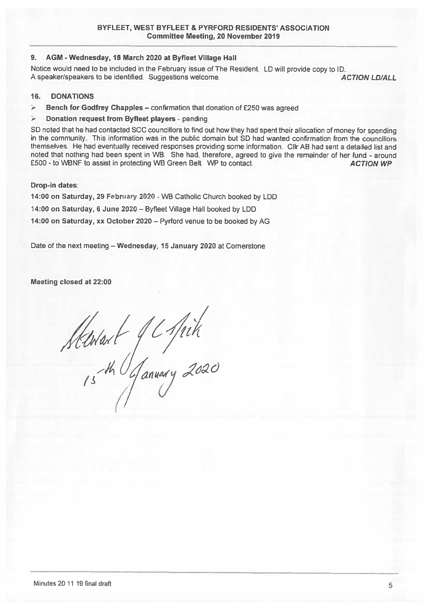#### AGM - Wednesday, 18 March 2020 at Byfleet Village Hall  $9.$

Notice would need to be included in the February issue of The Resident. LD will provide copy to ID. A speaker/speakers to be identified. Suggestions welcome. **ACTION LD/ALL** 

#### 16. **DONATIONS**

 $\overline{\phantom{a}}$ Bench for Godfrey Chapples - confirmation that donation of £250 was agreed

#### Donation request from Byfleet players - pending Þ

SD noted that he had contacted SCC councillors to find out how they had spent their allocation of money for spending in the community. This information was in the public domain but SD had wanted confirmation from the councillors themselves. He had eventually received responses providing some information. Cllr AB had sent a detailed list and noted that nothing had been spent in WB. She had, therefore, agreed to give the remainder of her fund - around £500 - to WBNF to assist in protecting WB Green Belt. WP to contact. **ACTION WP** 

#### **Drop-in dates:**

14:00 on Saturday, 29 February 2020 - WB Catholic Church booked by LDD 14:00 on Saturday, 6 June 2020 - Byfleet Village Hall booked by LDD 14:00 on Saturday, xx October 2020 - Pyrford venue to be booked by AG

Date of the next meeting - Wednesday, 15 January 2020 at Cornerstone

Meeting closed at 22:00

Skwart J L spik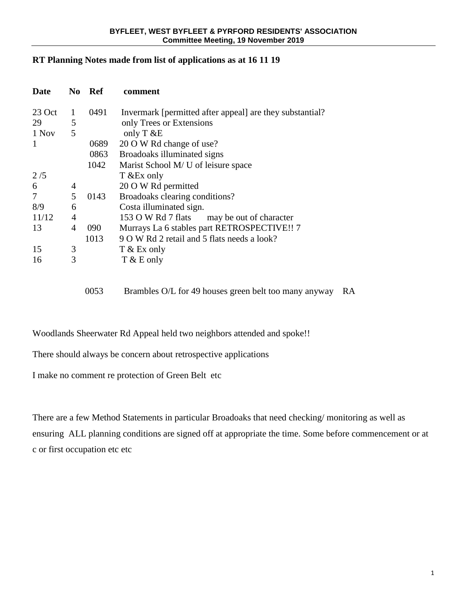### **RT Planning Notes made from list of applications as at 16 11 19**

| Date   | N <sub>0</sub> | <b>Ref</b> | comment                                                  |
|--------|----------------|------------|----------------------------------------------------------|
| 23 Oct | 1              | 0491       | Invermark [permitted after appeal] are they substantial? |
| 29     | 5              |            | only Trees or Extensions                                 |
| 1 Nov  | 5              |            | only $T & E$                                             |
| 1      |                | 0689       | 20 O W Rd change of use?                                 |
|        |                | 0863       | Broadoaks illuminated signs                              |
|        |                | 1042       | Marist School M/ U of leisure space                      |
| 2/5    |                |            | T & Ex only                                              |
| 6      | 4              |            | 20 O W Rd permitted                                      |
| 7      | 5              | 0143       | Broadoaks clearing conditions?                           |
| 8/9    | 6              |            | Costa illuminated sign.                                  |
| 11/12  | $\overline{4}$ |            | 153 O W Rd 7 flats<br>may be out of character            |
| 13     | $\overline{4}$ | 090        | Murrays La 6 stables part RETROSPECTIVE!! 7              |
|        |                | 1013       | 9 O W Rd 2 retail and 5 flats needs a look?              |
| 15     | 3              |            | T & Ex only                                              |
| 16     | 3              |            | $T & E$ only                                             |
|        |                |            |                                                          |

0053 Brambles O/L for 49 houses green belt too many anyway RA

Woodlands Sheerwater Rd Appeal held two neighbors attended and spoke!!

There should always be concern about retrospective applications

I make no comment re protection of Green Belt etc

There are a few Method Statements in particular Broadoaks that need checking/ monitoring as well as ensuring ALL planning conditions are signed off at appropriate the time. Some before commencement or at c or first occupation etc etc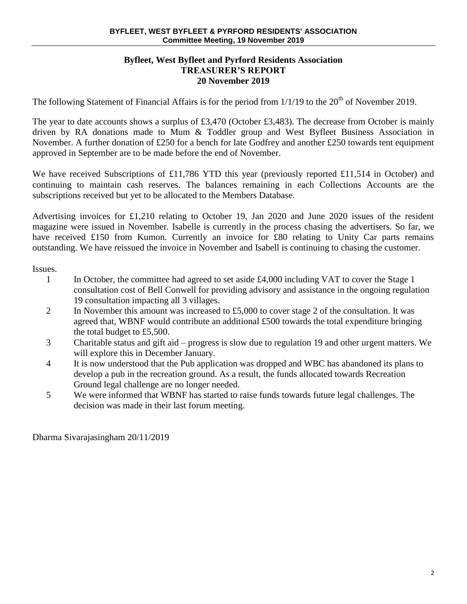### **Byfleet, West Byfleet and Pyrford Residents Association TREASURER'S REPORT 20 November 2019**

The following Statement of Financial Affairs is for the period from  $1/1/19$  to the  $20<sup>th</sup>$  of November 2019.

The year to date accounts shows a surplus of £3,470 (October £3,483). The decrease from October is mainly driven by RA donations made to Mum & Toddler group and West Byfleet Business Association in November. A further donation of £250 for a bench for late Godfrey and another £250 towards tent equipment approved in September are to be made before the end of November.

We have received Subscriptions of £11,786 YTD this year (previously reported £11,514 in October) and continuing to maintain cash reserves. The balances remaining in each Collections Accounts are the subscriptions received but yet to be allocated to the Members Database.

Advertising invoices for £1,210 relating to October 19, Jan 2020 and June 2020 issues of the resident magazine were issued in November. Isabelle is currently in the process chasing the advertisers. So far, we have received £150 from Kumon. Currently an invoice for £80 relating to Unity Car parts remains outstanding. We have reissued the invoice in November and Isabell is continuing to chasing the customer.

Issues.

- 1 In October, the committee had agreed to set aside £4,000 including VAT to cover the Stage 1 consultation cost of Bell Conwell for providing advisory and assistance in the ongoing regulation 19 consultation impacting all 3 villages.
- 2 In November this amount was increased to £5,000 to cover stage 2 of the consultation. It was agreed that, WBNF would contribute an additional £500 towards the total expenditure bringing the total budget to £5,500.
- 3 Charitable status and gift aid progress is slow due to regulation 19 and other urgent matters. We will explore this in December January.
- 4 It is now understood that the Pub application was dropped and WBC has abandoned its plans to develop a pub in the recreation ground. As a result, the funds allocated towards Recreation Ground legal challenge are no longer needed.
- 5 We were informed that WBNF has started to raise funds towards future legal challenges. The decision was made in their last forum meeting.

Dharma Sivarajasingham 20/11/2019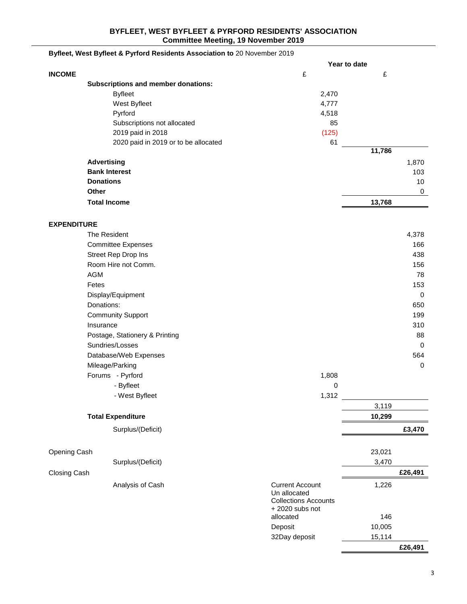### **BYFLEET, WEST BYFLEET & PYRFORD RESIDENTS' ASSOCIATION Committee Meeting, 19 November 2019**

|                    | Byfleet, West Byfleet & Pyrford Residents Association to 20 November 2019 |                             |              |             |
|--------------------|---------------------------------------------------------------------------|-----------------------------|--------------|-------------|
|                    |                                                                           |                             | Year to date |             |
| <b>INCOME</b>      |                                                                           | £                           | £            |             |
|                    | <b>Subscriptions and member donations:</b>                                |                             |              |             |
|                    | <b>Byfleet</b>                                                            | 2,470                       |              |             |
|                    | West Byfleet                                                              | 4,777                       |              |             |
|                    | Pyrford                                                                   | 4,518                       |              |             |
|                    | Subscriptions not allocated                                               | 85                          |              |             |
|                    | 2019 paid in 2018                                                         | (125)                       |              |             |
|                    | 2020 paid in 2019 or to be allocated                                      | 61                          |              |             |
|                    |                                                                           |                             | 11,786       |             |
|                    | <b>Advertising</b>                                                        |                             |              | 1,870       |
|                    | <b>Bank Interest</b>                                                      |                             |              | 103         |
|                    | <b>Donations</b>                                                          |                             |              | 10          |
|                    | Other                                                                     |                             |              | 0           |
|                    | <b>Total Income</b>                                                       |                             | 13,768       |             |
|                    |                                                                           |                             |              |             |
| <b>EXPENDITURE</b> |                                                                           |                             |              |             |
|                    | The Resident                                                              |                             |              | 4,378       |
|                    | <b>Committee Expenses</b>                                                 |                             |              | 166         |
|                    | Street Rep Drop Ins                                                       |                             |              | 438         |
|                    | Room Hire not Comm.                                                       |                             |              | 156         |
|                    | <b>AGM</b>                                                                |                             |              | 78          |
|                    | Fetes                                                                     |                             |              | 153         |
|                    | Display/Equipment                                                         |                             |              | 0           |
|                    | Donations:                                                                |                             |              | 650         |
|                    | <b>Community Support</b>                                                  |                             |              | 199         |
|                    | Insurance                                                                 |                             |              | 310         |
|                    | Postage, Stationery & Printing                                            |                             |              | 88          |
|                    | Sundries/Losses                                                           |                             |              | 0           |
|                    | Database/Web Expenses                                                     |                             |              | 564         |
|                    | Mileage/Parking                                                           |                             |              | $\mathbf 0$ |
|                    | Forums - Pyrford                                                          | 1,808                       |              |             |
|                    | - Byfleet                                                                 | 0                           |              |             |
|                    | - West Byfleet                                                            | 1,312                       |              |             |
|                    |                                                                           |                             | 3,119        |             |
|                    | <b>Total Expenditure</b>                                                  |                             | 10,299       |             |
|                    | Surplus/(Deficit)                                                         |                             |              | £3,470      |
|                    |                                                                           |                             |              |             |
| Opening Cash       |                                                                           |                             | 23,021       |             |
|                    | Surplus/(Deficit)                                                         |                             | 3,470        |             |
| Closing Cash       |                                                                           |                             |              | £26,491     |
|                    |                                                                           | <b>Current Account</b>      |              |             |
|                    | Analysis of Cash                                                          | Un allocated                | 1,226        |             |
|                    |                                                                           | <b>Collections Accounts</b> |              |             |
|                    |                                                                           | $+2020$ subs not            |              |             |
|                    |                                                                           | allocated                   | 146          |             |
|                    |                                                                           | Deposit                     | 10,005       |             |
|                    |                                                                           | 32Day deposit               | 15,114       |             |
|                    |                                                                           |                             |              | £26,491     |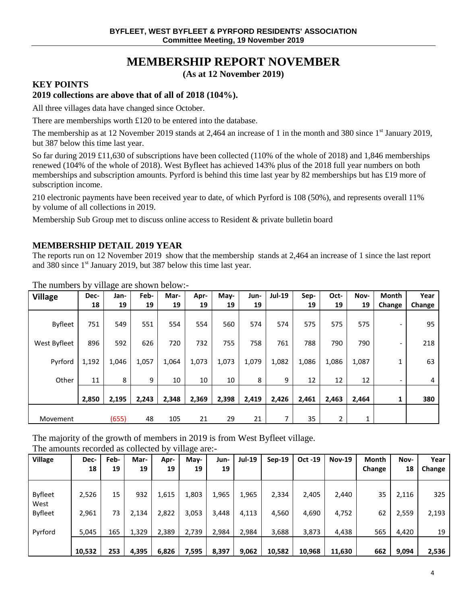# **MEMBERSHIP REPORT NOVEMBER**

**(As at 12 November 2019)**

## **KEY POINTS**

## **2019 collections are above that of all of 2018 (104%).**

All three villages data have changed since October.

There are memberships worth £120 to be entered into the database.

The membership as at 12 November 2019 stands at 2,464 an increase of 1 in the month and 380 since 1<sup>st</sup> January 2019, but 387 below this time last year.

So far during 2019 £11,630 of subscriptions have been collected (110% of the whole of 2018) and 1,846 memberships renewed (104% of the whole of 2018). West Byfleet has achieved 143% plus of the 2018 full year numbers on both memberships and subscription amounts. Pyrford is behind this time last year by 82 memberships but has £19 more of subscription income.

210 electronic payments have been received year to date, of which Pyrford is 108 (50%), and represents overall 11% by volume of all collections in 2019.

Membership Sub Group met to discuss online access to Resident & private bulletin board

### **MEMBERSHIP DETAIL 2019 YEAR**

The reports run on 12 November 2019 show that the membership stands at 2,464 an increase of 1 since the last report and 380 since  $1<sup>st</sup>$  January 2019, but 387 below this time last year.

| <b>Village</b> | Dec-  | Jan-  | Feb-  | Mar-  | Apr-  | May-  | Jun-  | <b>Jul-19</b> | Sep-  | Oct-  | Nov-  | <b>Month</b> | Year   |
|----------------|-------|-------|-------|-------|-------|-------|-------|---------------|-------|-------|-------|--------------|--------|
|                | 18    | 19    | 19    | 19    | 19    | 19    | 19    |               | 19    | 19    | 19    | Change       | Change |
| <b>Byfleet</b> | 751   | 549   | 551   | 554   | 554   | 560   | 574   | 574           | 575   | 575   | 575   |              | 95     |
| West Byfleet   | 896   | 592   | 626   | 720   | 732   | 755   | 758   | 761           | 788   | 790   | 790   | -            | 218    |
| Pyrford        | 1,192 | 1,046 | 1,057 | 1,064 | 1,073 | 1,073 | 1,079 | 1,082         | 1,086 | 1,086 | 1,087 |              | 63     |
| Other          | 11    | 8     | 9     | 10    | 10    | 10    | 8     | 9             | 12    | 12    | 12    |              | 4      |
|                | 2,850 | 2,195 | 2,243 | 2,348 | 2,369 | 2,398 | 2,419 | 2,426         | 2,461 | 2,463 | 2,464 |              | 380    |
| Movement       |       | (655) | 48    | 105   | 21    | 29    | 21    | 7             | 35    | 2     | 1     |              |        |

The numbers by village are shown below:-

The majority of the growth of members in 2019 is from West Byfleet village.

The amounts recorded as collected by village are:-

| <b>Village</b>         | Dec-<br>18 | Feb-<br>19 | Mar-<br>19 | Apr-<br>19 | May-<br>19 | Jun-<br>19 | <b>Jul-19</b> | $Sep-19$ | Oct -19 | <b>Nov-19</b> | <b>Month</b><br>Change | Nov-<br>18 | Year<br>Change |
|------------------------|------------|------------|------------|------------|------------|------------|---------------|----------|---------|---------------|------------------------|------------|----------------|
| <b>Byfleet</b><br>West | 2,526      | 15         | 932        | 1,615      | 1,803      | 1,965      | 1,965         | 2,334    | 2,405   | 2,440         | 35                     | 2,116      | 325            |
| <b>Byfleet</b>         | 2,961      | 73         | 2,134      | 2,822      | 3,053      | 3,448      | 4,113         | 4,560    | 4,690   | 4,752         | 62                     | 2,559      | 2,193          |
| Pyrford                | 5,045      | 165        | 1,329      | 2,389      | 2,739      | 2,984      | 2,984         | 3,688    | 3,873   | 4,438         | 565                    | 4,420      | 19             |
|                        | 10,532     | 253        | 4,395      | 6,826      | 7,595      | 8,397      | 9,062         | 10,582   | 10,968  | 11,630        | 662                    | 9,094      | 2,536          |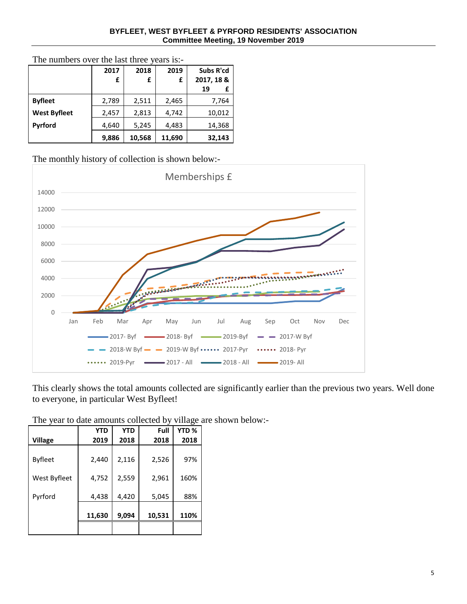#### **BYFLEET, WEST BYFLEET & PYRFORD RESIDENTS' ASSOCIATION Committee Meeting, 19 November 2019**

|                     | 2017   | 2018   | 2019   | Subs R'cd  |
|---------------------|--------|--------|--------|------------|
|                     | £<br>£ |        | £      | 2017, 18 & |
|                     |        |        |        | 19<br>£    |
| <b>Byfleet</b>      | 2,789  | 2,511  | 2,465  | 7,764      |
| <b>West Byfleet</b> | 2,457  | 2,813  | 4,742  | 10,012     |
| Pyrford             | 4,640  | 5,245  | 4,483  | 14,368     |
|                     | 9,886  | 10,568 | 11,690 | 32,143     |

The numbers over the last three years is:-

The monthly history of collection is shown below:-



This clearly shows the total amounts collected are significantly earlier than the previous two years. Well done to everyone, in particular West Byfleet!

The year to date amounts collected by village are shown below:-

|                | <b>YTD</b> | <b>YTD</b> | Full   | YTD <sub>%</sub> |
|----------------|------------|------------|--------|------------------|
| <b>Village</b> | 2019       | 2018       | 2018   | 2018             |
| <b>Byfleet</b> | 2,440      | 2,116      | 2,526  | 97%              |
| West Byfleet   | 4,752      | 2,559      | 2,961  | 160%             |
| Pyrford        | 4,438      | 4,420      | 5,045  | 88%              |
|                | 11,630     | 9,094      | 10,531 | 110%             |
|                |            |            |        |                  |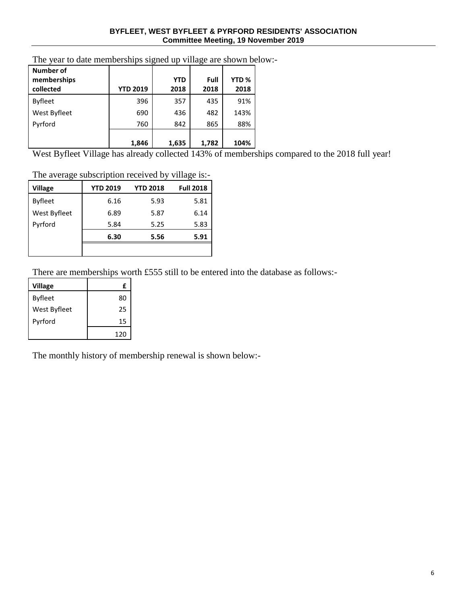#### **BYFLEET, WEST BYFLEET & PYRFORD RESIDENTS' ASSOCIATION Committee Meeting, 19 November 2019**

| Number of<br>memberships<br>collected | <b>YTD 2019</b> | <b>YTD</b><br>2018 | Full<br>2018 | YTD <sub>%</sub><br>2018 |
|---------------------------------------|-----------------|--------------------|--------------|--------------------------|
| <b>Byfleet</b>                        | 396             | 357                | 435          | 91%                      |
| West Byfleet                          | 690             | 436                | 482          | 143%                     |
| Pyrford                               | 760             | 842                | 865          | 88%                      |
|                                       | 1,846           | 1,635              | 1,782        | 104%                     |

The year to date memberships signed up village are shown below:-

West Byfleet Village has already collected 143% of memberships compared to the 2018 full year!

## The average subscription received by village is:-

| <b>Village</b> | <b>YTD 2019</b> | <b>YTD 2018</b> | <b>Full 2018</b> |
|----------------|-----------------|-----------------|------------------|
| <b>Byfleet</b> | 6.16            | 5.93            | 5.81             |
| West Byfleet   | 6.89            | 5.87            | 6.14             |
| Pyrford        | 5.84            | 5.25            | 5.83             |
|                | 6.30            | 5.56            | 5.91             |
|                |                 |                 |                  |

There are memberships worth £555 still to be entered into the database as follows:-

| <b>Village</b> | £   |
|----------------|-----|
| <b>Byfleet</b> | 80  |
| West Byfleet   | 25  |
| Pyrford        | 15  |
|                | 120 |

The monthly history of membership renewal is shown below:-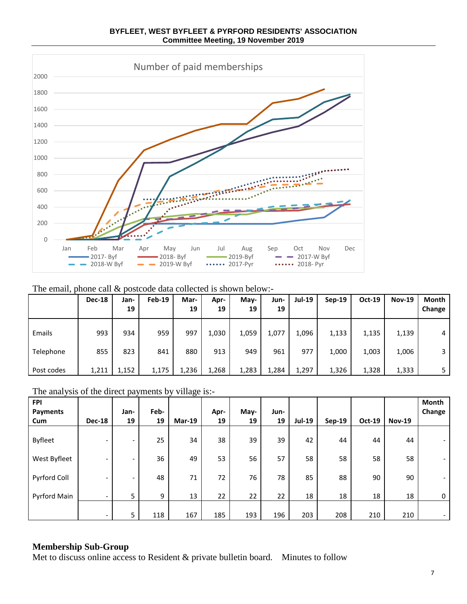

**BYFLEET, WEST BYFLEET & PYRFORD RESIDENTS' ASSOCIATION Committee Meeting, 19 November 2019**

The email, phone call & postcode data collected is shown below:-

|            | <b>Dec-18</b> | Jan-<br>19 | $Feb-19$ | Mar-<br>19 | Apr-<br>19 | May-<br>19 | Jun-<br>19 | Jul-19 | $Sep-19$ | <b>Oct-19</b> | <b>Nov-19</b> | <b>Month</b><br>Change |
|------------|---------------|------------|----------|------------|------------|------------|------------|--------|----------|---------------|---------------|------------------------|
|            |               |            |          |            |            |            |            |        |          |               |               |                        |
| Emails     | 993           | 934        | 959      | 997        | 1,030      | 1,059      | 1.077      | 1,096  | 1,133    | 1,135         | 1,139         | 4                      |
| Telephone  | 855           | 823        | 841      | 880        | 913        | 949        | 961        | 977    | 1,000    | 1,003         | 1,006         |                        |
| Post codes | 1,211         | 1,152      | 1,175    | 1,236      | 1,268      | 1,283      | 1,284      | 1,297  | 1,326    | 1,328         | 1,333         |                        |

The analysis of the direct payments by village is:-

| <b>FPI</b>      |                          |                          |      |          |      |      |      |               |        |        |               | <b>Month</b>             |
|-----------------|--------------------------|--------------------------|------|----------|------|------|------|---------------|--------|--------|---------------|--------------------------|
| <b>Payments</b> |                          | Jan-                     | Feb- |          | Apr- | May- | Jun- |               |        |        |               | Change                   |
| Cum             | <b>Dec-18</b>            | 19                       | 19   | $Mar-19$ | 19   | 19   | 19   | <b>Jul-19</b> | Sep-19 | Oct-19 | <b>Nov-19</b> |                          |
| <b>Byfleet</b>  | $\overline{\phantom{0}}$ | $\overline{\phantom{a}}$ | 25   | 34       | 38   | 39   | 39   | 42            | 44     | 44     | 44            | $\overline{\phantom{0}}$ |
| West Byfleet    |                          | $\overline{\phantom{a}}$ | 36   | 49       | 53   | 56   | 57   | 58            | 58     | 58     | 58            | $\overline{\phantom{0}}$ |
| Pyrford Coll    |                          | $\overline{\phantom{a}}$ | 48   | 71       | 72   | 76   | 78   | 85            | 88     | 90     | 90            | $\overline{\phantom{0}}$ |
| Pyrford Main    | $\overline{\phantom{0}}$ | 5                        | 9    | 13       | 22   | 22   | 22   | 18            | 18     | 18     | 18            | 0                        |
|                 | $\overline{\phantom{0}}$ | 5                        | 118  | 167      | 185  | 193  | 196  | 203           | 208    | 210    | 210           | $\overline{\phantom{0}}$ |

## **Membership Sub-Group**

Met to discuss online access to Resident & private bulletin board. Minutes to follow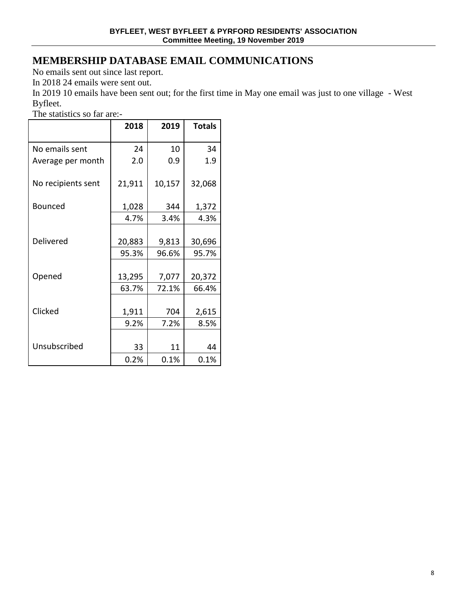# **MEMBERSHIP DATABASE EMAIL COMMUNICATIONS**

No emails sent out since last report.

In 2018 24 emails were sent out.

In 2019 10 emails have been sent out; for the first time in May one email was just to one village - West Byfleet.

The statistics so far are:-

|                    | 2018            | 2019           | <b>Totals</b>   |
|--------------------|-----------------|----------------|-----------------|
| No emails sent     | 24              | 10             | 34              |
| Average per month  | 2.0             | 0.9            | 1.9             |
| No recipients sent | 21,911          | 10,157         | 32,068          |
| <b>Bounced</b>     | 1,028           | 344            | 1,372           |
|                    | 4.7%            | 3.4%           | 4.3%            |
| Delivered          | 20,883<br>95.3% | 9,813<br>96.6% | 30,696<br>95.7% |
| Opened             | 13,295<br>63.7% | 7,077<br>72.1% | 20,372<br>66.4% |
| Clicked            | 1,911           | 704            | 2,615           |
|                    | 9.2%            | 7.2%           | 8.5%            |
| Unsubscribed       | 33              | 11             | 44              |
|                    | 0.2%            | 0.1%           | 0.1%            |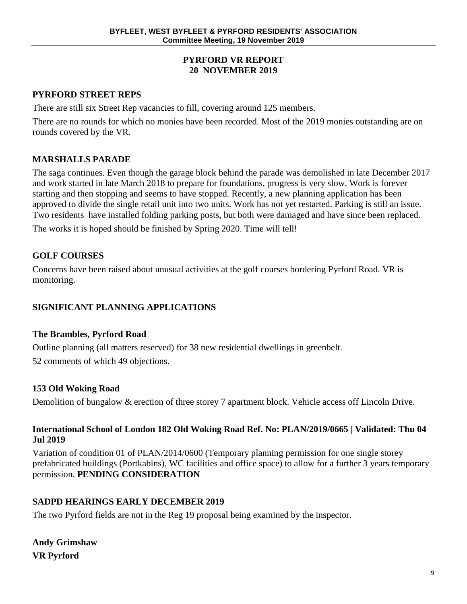## **PYRFORD VR REPORT 20 NOVEMBER 2019**

## **PYRFORD STREET REPS**

There are still six Street Rep vacancies to fill, covering around 125 members.

There are no rounds for which no monies have been recorded. Most of the 2019 monies outstanding are on rounds covered by the VR.

## **MARSHALLS PARADE**

The saga continues. Even though the garage block behind the parade was demolished in late December 2017 and work started in late March 2018 to prepare for foundations, progress is very slow. Work is forever starting and then stopping and seems to have stopped. Recently, a new planning application has been approved to divide the single retail unit into two units. Work has not yet restarted. Parking is still an issue. Two residents have installed folding parking posts, but both were damaged and have since been replaced.

The works it is hoped should be finished by Spring 2020. Time will tell!

## **GOLF COURSES**

Concerns have been raised about unusual activities at the golf courses bordering Pyrford Road. VR is monitoring.

## **SIGNIFICANT PLANNING APPLICATIONS**

## **The Brambles, Pyrford Road**

Outline planning (all matters reserved) for 38 new residential dwellings in greenbelt. 52 comments of which 49 objections.

## **153 Old Woking Road**

Demolition of bungalow & erection of three storey 7 apartment block. Vehicle access off Lincoln Drive.

## **International School of London 182 Old Woking Road Ref. No: PLAN/2019/0665 | Validated: Thu 04 Jul 2019**

Variation of condition 01 of PLAN/2014/0600 (Temporary planning permission for one single storey prefabricated buildings (Portkabins), WC facilities and office space) to allow for a further 3 years temporary permission. **PENDING CONSIDERATION**

## **SADPD HEARINGS EARLY DECEMBER 2019**

The two Pyrford fields are not in the Reg 19 proposal being examined by the inspector.

**Andy Grimshaw VR Pyrford**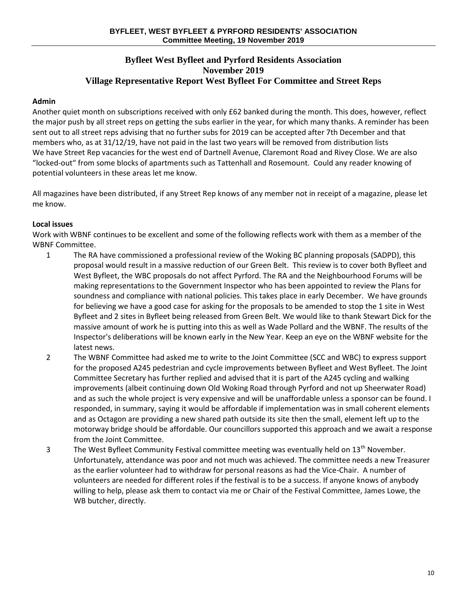#### **Byfleet West Byfleet and Pyrford Residents Association November 2019 Village Representative Report West Byfleet For Committee and Street Reps**

### **Admin**

Another quiet month on subscriptions received with only £62 banked during the month. This does, however, reflect the major push by all street reps on getting the subs earlier in the year, for which many thanks. A reminder has been sent out to all street reps advising that no further subs for 2019 can be accepted after 7th December and that members who, as at 31/12/19, have not paid in the last two years will be removed from distribution lists We have Street Rep vacancies for the west end of Dartnell Avenue, Claremont Road and Rivey Close. We are also "locked-out" from some blocks of apartments such as Tattenhall and Rosemount. Could any reader knowing of potential volunteers in these areas let me know.

All magazines have been distributed, if any Street Rep knows of any member not in receipt of a magazine, please let me know.

#### **Local issues**

Work with WBNF continues to be excellent and some of the following reflects work with them as a member of the WBNF Committee.

- 1 The RA have commissioned a professional review of the Woking BC planning proposals (SADPD), this proposal would result in a massive reduction of our Green Belt. This review is to cover both Byfleet and West Byfleet, the WBC proposals do not affect Pyrford. The RA and the Neighbourhood Forums will be making representations to the Government Inspector who has been appointed to review the Plans for soundness and compliance with national policies. This takes place in early December. We have grounds for believing we have a good case for asking for the proposals to be amended to stop the 1 site in West Byfleet and 2 sites in Byfleet being released from Green Belt. We would like to thank Stewart Dick for the massive amount of work he is putting into this as well as Wade Pollard and the WBNF. The results of the Inspector's deliberations will be known early in the New Year. Keep an eye on the WBNF website for the latest news.
- 2 The WBNF Committee had asked me to write to the Joint Committee (SCC and WBC) to express support for the proposed A245 pedestrian and cycle improvements between Byfleet and West Byfleet. The Joint Committee Secretary has further replied and advised that it is part of the A245 cycling and walking improvements (albeit continuing down Old Woking Road through Pyrford and not up Sheerwater Road) and as such the whole project is very expensive and will be unaffordable unless a sponsor can be found. I responded, in summary, saying it would be affordable if implementation was in small coherent elements and as Octagon are providing a new shared path outside its site then the small, element left up to the motorway bridge should be affordable. Our councillors supported this approach and we await a response from the Joint Committee.
- 3 The West Byfleet Community Festival committee meeting was eventually held on 13<sup>th</sup> November. Unfortunately, attendance was poor and not much was achieved. The committee needs a new Treasurer as the earlier volunteer had to withdraw for personal reasons as had the Vice-Chair. A number of volunteers are needed for different roles if the festival is to be a success. If anyone knows of anybody willing to help, please ask them to contact via me or Chair of the Festival Committee, James Lowe, the WB butcher, directly.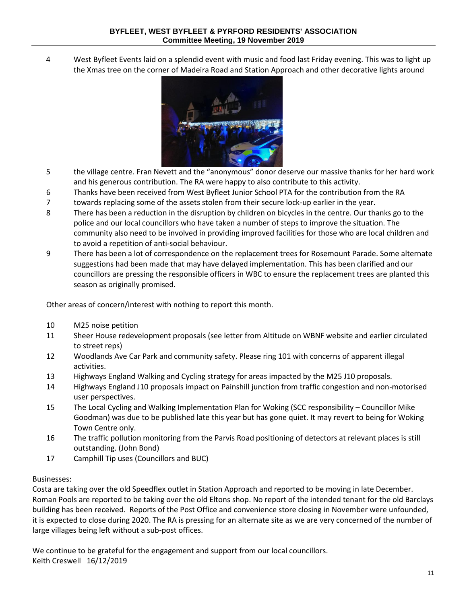4 West Byfleet Events laid on a splendid event with music and food last Friday evening. This was to light up the Xmas tree on the corner of Madeira Road and Station Approach and other decorative lights around



- 5 the village centre. Fran Nevett and the "anonymous" donor deserve our massive thanks for her hard work and his generous contribution. The RA were happy to also contribute to this activity.
- 6 Thanks have been received from West Byfleet Junior School PTA for the contribution from the RA
- 7 towards replacing some of the assets stolen from their secure lock-up earlier in the year.
- 8 There has been a reduction in the disruption by children on bicycles in the centre. Our thanks go to the police and our local councillors who have taken a number of steps to improve the situation. The community also need to be involved in providing improved facilities for those who are local children and to avoid a repetition of anti-social behaviour.
- 9 There has been a lot of correspondence on the replacement trees for Rosemount Parade. Some alternate suggestions had been made that may have delayed implementation. This has been clarified and our councillors are pressing the responsible officers in WBC to ensure the replacement trees are planted this season as originally promised.

Other areas of concern/interest with nothing to report this month.

- 10 M25 noise petition
- 11 Sheer House redevelopment proposals (see letter from Altitude on WBNF website and earlier circulated to street reps)
- 12 Woodlands Ave Car Park and community safety. Please ring 101 with concerns of apparent illegal activities.
- 13 Highways England Walking and Cycling strategy for areas impacted by the M25 J10 proposals.
- 14 Highways England J10 proposals impact on Painshill junction from traffic congestion and non-motorised user perspectives.
- 15 The Local Cycling and Walking Implementation Plan for Woking (SCC responsibility Councillor Mike Goodman) was due to be published late this year but has gone quiet. It may revert to being for Woking Town Centre only.
- 16 The traffic pollution monitoring from the Parvis Road positioning of detectors at relevant places is still outstanding. (John Bond)
- 17 Camphill Tip uses (Councillors and BUC)

#### Businesses:

Costa are taking over the old Speedflex outlet in Station Approach and reported to be moving in late December. Roman Pools are reported to be taking over the old Eltons shop. No report of the intended tenant for the old Barclays building has been received. Reports of the Post Office and convenience store closing in November were unfounded, it is expected to close during 2020. The RA is pressing for an alternate site as we are very concerned of the number of large villages being left without a sub-post offices.

We continue to be grateful for the engagement and support from our local councillors. Keith Creswell 16/12/2019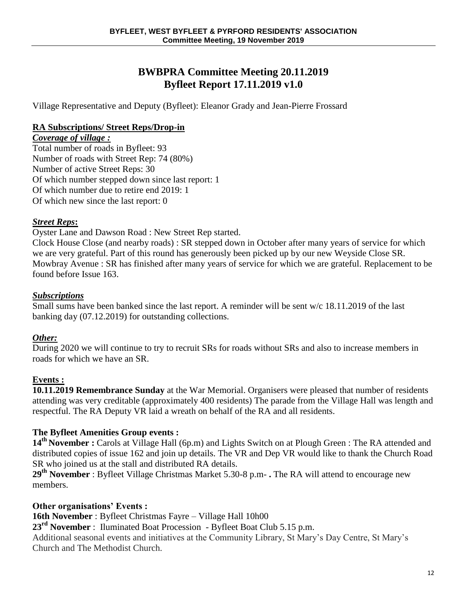# **BWBPRA Committee Meeting 20.11.2019 Byfleet Report 17.11.2019 v1.0**

Village Representative and Deputy (Byfleet): Eleanor Grady and Jean-Pierre Frossard

## **RA Subscriptions/ Street Reps/Drop-in**

### *Coverage of village :*

Total number of roads in Byfleet: 93 Number of roads with Street Rep: 74 (80%) Number of active Street Reps: 30 Of which number stepped down since last report: 1 Of which number due to retire end 2019: 1 Of which new since the last report: 0

## *Street Reps***:**

Oyster Lane and Dawson Road : New Street Rep started.

Clock House Close (and nearby roads) : SR stepped down in October after many years of service for which we are very grateful. Part of this round has generously been picked up by our new Weyside Close SR. Mowbray Avenue : SR has finished after many years of service for which we are grateful. Replacement to be found before Issue 163.

## *Subscriptions*

Small sums have been banked since the last report. A reminder will be sent w/c 18.11.2019 of the last banking day (07.12.2019) for outstanding collections.

## *Other:*

During 2020 we will continue to try to recruit SRs for roads without SRs and also to increase members in roads for which we have an SR.

## **Events :**

**10.11.2019 Remembrance Sunday** at the War Memorial. Organisers were pleased that number of residents attending was very creditable (approximately 400 residents) The parade from the Village Hall was length and respectful. The RA Deputy VR laid a wreath on behalf of the RA and all residents.

## **The Byfleet Amenities Group events :**

**14th November :** Carols at Village Hall (6p.m) and Lights Switch on at Plough Green : The RA attended and distributed copies of issue 162 and join up details. The VR and Dep VR would like to thank the Church Road SR who joined us at the stall and distributed RA details.

**29th November** : Byfleet Village Christmas Market 5.30-8 p.m- **.** The RA will attend to encourage new members.

## **Other organisations' Events :**

**16th November** : Byfleet Christmas Fayre – Village Hall 10h00

**23rd November** : Iluminated Boat Procession - Byfleet Boat Club 5.15 p.m.

Additional seasonal events and initiatives at the Community Library, St Mary's Day Centre, St Mary's Church and The Methodist Church.